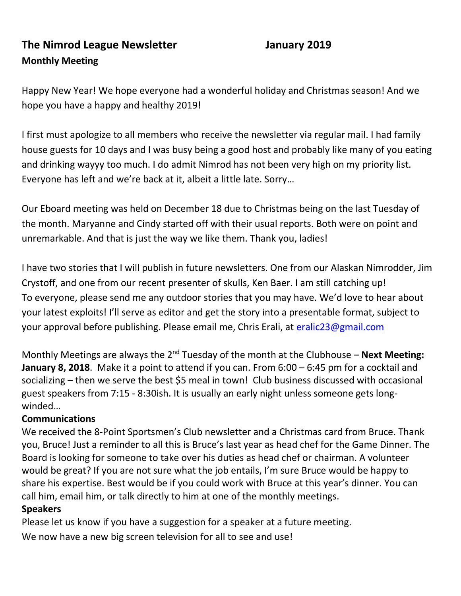# **The Nimrod League Newsletter January 2019 Monthly Meeting**

Happy New Year! We hope everyone had a wonderful holiday and Christmas season! And we hope you have a happy and healthy 2019!

I first must apologize to all members who receive the newsletter via regular mail. I had family house guests for 10 days and I was busy being a good host and probably like many of you eating and drinking wayyy too much. I do admit Nimrod has not been very high on my priority list. Everyone has left and we're back at it, albeit a little late. Sorry…

Our Eboard meeting was held on December 18 due to Christmas being on the last Tuesday of the month. Maryanne and Cindy started off with their usual reports. Both were on point and unremarkable. And that is just the way we like them. Thank you, ladies!

I have two stories that I will publish in future newsletters. One from our Alaskan Nimrodder, Jim Crystoff, and one from our recent presenter of skulls, Ken Baer. I am still catching up! To everyone, please send me any outdoor stories that you may have. We'd love to hear about your latest exploits! I'll serve as editor and get the story into a presentable format, subject to your approval before publishing. Please email me, Chris Erali, at [eralic23@gmail.com](mailto:eralic23@gmail.com)

Monthly Meetings are always the 2<sup>nd</sup> Tuesday of the month at the Clubhouse – **Next Meeting: January 8, 2018**. Make it a point to attend if you can. From 6:00 – 6:45 pm for a cocktail and socializing – then we serve the best \$5 meal in town! Club business discussed with occasional guest speakers from 7:15 - 8:30ish. It is usually an early night unless someone gets longwinded…

#### **Communications**

We received the 8-Point Sportsmen's Club newsletter and a Christmas card from Bruce. Thank you, Bruce! Just a reminder to all this is Bruce's last year as head chef for the Game Dinner. The Board is looking for someone to take over his duties as head chef or chairman. A volunteer would be great? If you are not sure what the job entails, I'm sure Bruce would be happy to share his expertise. Best would be if you could work with Bruce at this year's dinner. You can call him, email him, or talk directly to him at one of the monthly meetings.

#### **Speakers**

Please let us know if you have a suggestion for a speaker at a future meeting. We now have a new big screen television for all to see and use!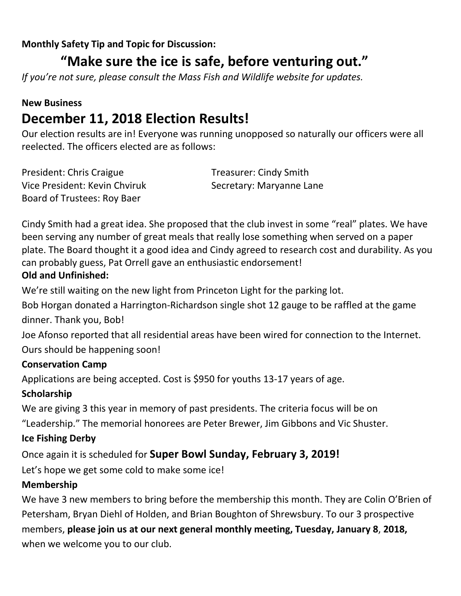#### **Monthly Safety Tip and Topic for Discussion:**

# **"Make sure the ice is safe, before venturing out."**

*If you're not sure, please consult the Mass Fish and Wildlife website for updates.*

## **New Business December 11, 2018 Election Results!**

Our election results are in! Everyone was running unopposed so naturally our officers were all reelected. The officers elected are as follows:

| President: Chris Craigue      | <b>Treasurer: Cindy Smith</b> |
|-------------------------------|-------------------------------|
| Vice President: Kevin Chviruk | Secretary: Maryanne Lane      |
| Board of Trustees: Roy Baer   |                               |

Cindy Smith had a great idea. She proposed that the club invest in some "real" plates. We have been serving any number of great meals that really lose something when served on a paper plate. The Board thought it a good idea and Cindy agreed to research cost and durability. As you can probably guess, Pat Orrell gave an enthusiastic endorsement! **Old and Unfinished:**

We're still waiting on the new light from Princeton Light for the parking lot.

Bob Horgan donated a Harrington-Richardson single shot 12 gauge to be raffled at the game dinner. Thank you, Bob!

Joe Afonso reported that all residential areas have been wired for connection to the Internet. Ours should be happening soon!

#### **Conservation Camp**

Applications are being accepted. Cost is \$950 for youths 13-17 years of age.

#### **Scholarship**

We are giving 3 this year in memory of past presidents. The criteria focus will be on

"Leadership." The memorial honorees are Peter Brewer, Jim Gibbons and Vic Shuster.

#### **Ice Fishing Derby**

Once again it is scheduled for **Super Bowl Sunday, February 3, 2019!**

Let's hope we get some cold to make some ice!

#### **Membership**

We have 3 new members to bring before the membership this month. They are Colin O'Brien of Petersham, Bryan Diehl of Holden, and Brian Boughton of Shrewsbury. To our 3 prospective members, **please join us at our next general monthly meeting, Tuesday, January 8**, **2018,**  when we welcome you to our club.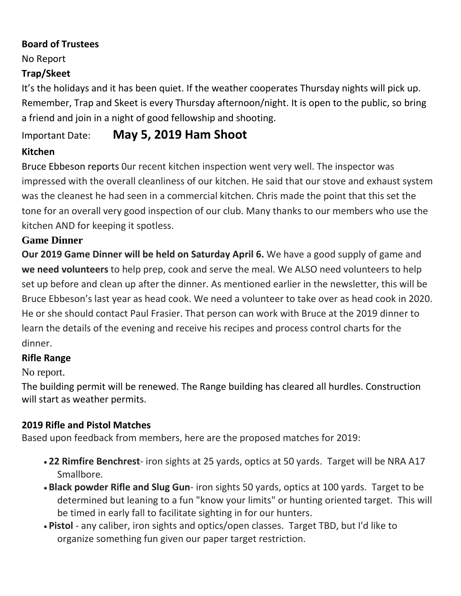#### **Board of Trustees**

No Report

#### **Trap/Skeet**

It's the holidays and it has been quiet. If the weather cooperates Thursday nights will pick up. Remember, Trap and Skeet is every Thursday afternoon/night. It is open to the public, so bring a friend and join in a night of good fellowship and shooting.

# Important Date: **May 5, 2019 Ham Shoot**

#### **Kitchen**

Bruce Ebbeson reports 0ur recent kitchen inspection went very well. The inspector was impressed with the overall cleanliness of our kitchen. He said that our stove and exhaust system was the cleanest he had seen in a commercial kitchen. Chris made the point that this set the tone for an overall very good inspection of our club. Many thanks to our members who use the kitchen AND for keeping it spotless.

#### **Game Dinner**

**Our 2019 Game Dinner will be held on Saturday April 6.** We have a good supply of game and **we need volunteers** to help prep, cook and serve the meal. We ALSO need volunteers to help set up before and clean up after the dinner. As mentioned earlier in the newsletter, this will be Bruce Ebbeson's last year as head cook. We need a volunteer to take over as head cook in 2020. He or she should contact Paul Frasier. That person can work with Bruce at the 2019 dinner to learn the details of the evening and receive his recipes and process control charts for the dinner.

#### **Rifle Range**

No report.

The building permit will be renewed. The Range building has cleared all hurdles. Construction will start as weather permits.

### **2019 Rifle and Pistol Matches**

Based upon feedback from members, here are the proposed matches for 2019:

- **22 Rimfire Benchrest** iron sights at 25 yards, optics at 50 yards. Target will be NRA A17 Smallbore.
- **Black powder Rifle and Slug Gun** iron sights 50 yards, optics at 100 yards. Target to be determined but leaning to a fun "know your limits" or hunting oriented target. This will be timed in early fall to facilitate sighting in for our hunters.
- **Pistol** any caliber, iron sights and optics/open classes. Target TBD, but I'd like to organize something fun given our paper target restriction.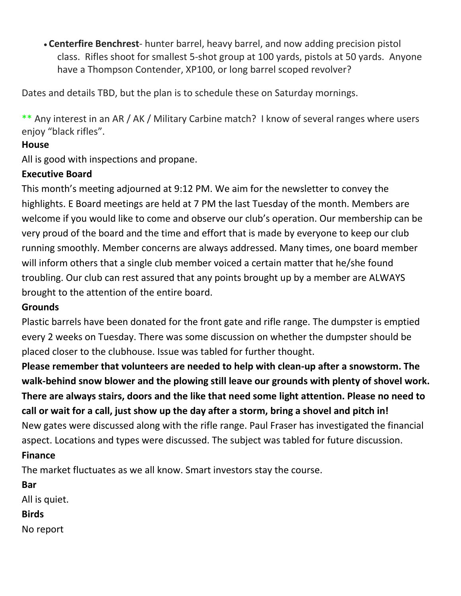• **Centerfire Benchrest**- hunter barrel, heavy barrel, and now adding precision pistol class. Rifles shoot for smallest 5-shot group at 100 yards, pistols at 50 yards. Anyone have a Thompson Contender, XP100, or long barrel scoped revolver?

Dates and details TBD, but the plan is to schedule these on Saturday mornings.

\*\* Any interest in an AR / AK / Military Carbine match? I know of several ranges where users enjoy "black rifles".

#### **House**

All is good with inspections and propane.

#### **Executive Board**

This month's meeting adjourned at 9:12 PM. We aim for the newsletter to convey the highlights. E Board meetings are held at 7 PM the last Tuesday of the month. Members are welcome if you would like to come and observe our club's operation. Our membership can be very proud of the board and the time and effort that is made by everyone to keep our club running smoothly. Member concerns are always addressed. Many times, one board member will inform others that a single club member voiced a certain matter that he/she found troubling. Our club can rest assured that any points brought up by a member are ALWAYS brought to the attention of the entire board.

#### **Grounds**

Plastic barrels have been donated for the front gate and rifle range. The dumpster is emptied every 2 weeks on Tuesday. There was some discussion on whether the dumpster should be placed closer to the clubhouse. Issue was tabled for further thought.

**Please remember that volunteers are needed to help with clean-up after a snowstorm. The walk-behind snow blower and the plowing still leave our grounds with plenty of shovel work. There are always stairs, doors and the like that need some light attention. Please no need to call or wait for a call, just show up the day after a storm, bring a shovel and pitch in!** New gates were discussed along with the rifle range. Paul Fraser has investigated the financial aspect. Locations and types were discussed. The subject was tabled for future discussion.

#### **Finance**

The market fluctuates as we all know. Smart investors stay the course.

**Bar** All is quiet.

#### **Birds**

No report